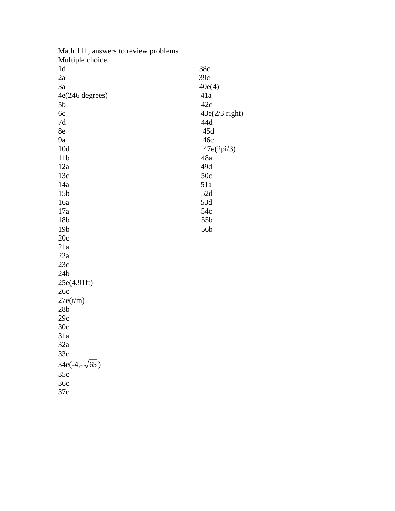| Math 111, answers to review problems |                  |
|--------------------------------------|------------------|
| Multiple choice.                     |                  |
| 1 <sub>d</sub>                       | 38c              |
| 2a                                   | 39c              |
| 3a                                   | 40e(4)           |
| 4e(246 degrees)                      | 41a              |
| 5 <sub>b</sub>                       | 42c              |
| 6c                                   | $43e(2/3$ right) |
| 7d                                   | 44d              |
| 8e                                   | 45d              |
| <b>9a</b>                            | 46c              |
| 10d                                  | 47e(2pi/3)       |
| 11 <sub>b</sub>                      | 48a              |
| 12a                                  | 49d              |
| 13c                                  | 50c              |
| 14a                                  | 51a              |
| 15 <sub>b</sub>                      | 52d              |
| 16a                                  | 53d              |
| 17a                                  | 54c              |
| 18b                                  | 55b              |
| 19 <sub>b</sub>                      | 56b              |
| 20c                                  |                  |
| 21a                                  |                  |
| 22a                                  |                  |
| 23c                                  |                  |
| 24 <sub>b</sub>                      |                  |
| 25e(4.91ft)                          |                  |
| 26c                                  |                  |
| 27e(t/m)                             |                  |
| 28 <sub>b</sub>                      |                  |
| 29c                                  |                  |
| 30c                                  |                  |
| 31a                                  |                  |
| 32a                                  |                  |
| 33c                                  |                  |
| $34e(-4,-\sqrt{65})$                 |                  |
| 35c                                  |                  |
| 36c                                  |                  |
| 37c                                  |                  |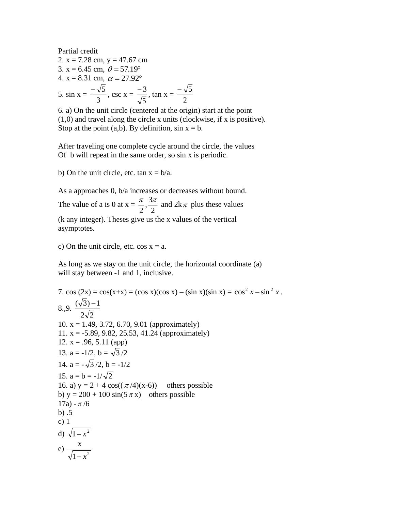Partial credit  
\n2. x = 7.28 cm, y = 47.67 cm  
\n3. x = 6.45 cm, 
$$
\theta = 57.19^{\circ}
$$
  
\n4. x = 8.31 cm,  $\alpha = 27.92^{\circ}$   
\n5. sin x =  $\frac{-\sqrt{5}}{3}$ , csc x =  $\frac{-3}{\sqrt{5}}$ , tan x =  $\frac{-\sqrt{5}}{2}$ 

6. a) On the unit circle (centered at the origin) start at the point (1,0) and travel along the circle x units (clockwise, if x is positive). Stop at the point (a,b). By definition,  $sin x = b$ .

After traveling one complete cycle around the circle, the values Of b will repeat in the same order, so sin x is periodic.

b) On the unit circle, etc. tan  $x = b/a$ .

As a approaches 0, b/a increases or decreases without bound.

The value of a is 0 at  $x = \frac{\pi}{2}, \frac{3\pi}{2}$ 3 , 2  $\frac{\pi}{2}, \frac{3\pi}{2}$  and  $2k\pi$  plus these values (k any integer). Theses give us the x values of the vertical asymptotes.

c) On the unit circle, etc.  $cos x = a$ .

As long as we stay on the unit circle, the horizontal coordinate (a) will stay between -1 and 1, inclusive.

7. cos (2x) = cos(x+x) = (cos x)(cos x) – (sin x)(sin x) = cos<sup>2</sup> x – sin<sup>2</sup> x.  
\n8.,9. 
$$
\frac{(\sqrt{3})-1}{2\sqrt{2}}
$$
\n10. x = 1.49, 3.72, 6.70, 9.01 (approximately)  
\n11. x = -5.89, 9.82, 25.53, 41.24 (approximately)  
\n12. x = .96, 5.11 (app)  
\n13. a = -1/2, b =  $\sqrt{3}$ /2  
\n14. a =  $-\sqrt{3}$  /2, b = -1/2  
\n15. a = b = -1/ $\sqrt{2}$   
\n16. a) y = 2 + 4 cos(( $\pi$ /4)(x-6)) others possible  
\nb) y = 200 + 100 sin(5 $\pi$ x) others possible  
\n17a) -  $\pi$ /6  
\nb) .5  
\nc) 1  
\nd)  $\sqrt{1-x^2}$   
\ne)  $\frac{x}{\sqrt{1-x^2}}$